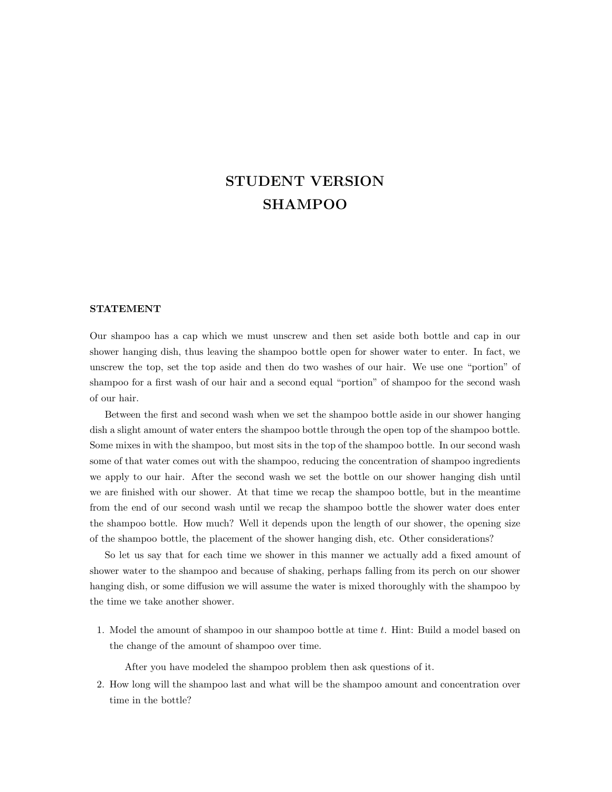## STUDENT VERSION SHAMPOO

## STATEMENT

Our shampoo has a cap which we must unscrew and then set aside both bottle and cap in our shower hanging dish, thus leaving the shampoo bottle open for shower water to enter. In fact, we unscrew the top, set the top aside and then do two washes of our hair. We use one "portion" of shampoo for a first wash of our hair and a second equal "portion" of shampoo for the second wash of our hair.

Between the first and second wash when we set the shampoo bottle aside in our shower hanging dish a slight amount of water enters the shampoo bottle through the open top of the shampoo bottle. Some mixes in with the shampoo, but most sits in the top of the shampoo bottle. In our second wash some of that water comes out with the shampoo, reducing the concentration of shampoo ingredients we apply to our hair. After the second wash we set the bottle on our shower hanging dish until we are finished with our shower. At that time we recap the shampoo bottle, but in the meantime from the end of our second wash until we recap the shampoo bottle the shower water does enter the shampoo bottle. How much? Well it depends upon the length of our shower, the opening size of the shampoo bottle, the placement of the shower hanging dish, etc. Other considerations?

So let us say that for each time we shower in this manner we actually add a fixed amount of shower water to the shampoo and because of shaking, perhaps falling from its perch on our shower hanging dish, or some diffusion we will assume the water is mixed thoroughly with the shampoo by the time we take another shower.

1. Model the amount of shampoo in our shampoo bottle at time t. Hint: Build a model based on the change of the amount of shampoo over time.

After you have modeled the shampoo problem then ask questions of it.

2. How long will the shampoo last and what will be the shampoo amount and concentration over time in the bottle?